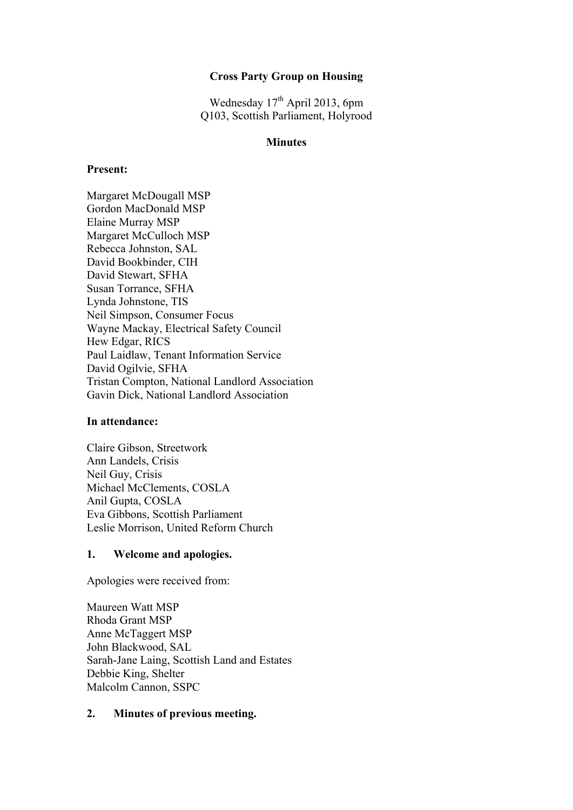# **Cross Party Group on Housing**

Wednesday 17<sup>th</sup> April 2013, 6pm Q103, Scottish Parliament, Holyrood

### **Minutes**

#### **Present:**

Margaret McDougall MSP Gordon MacDonald MSP Elaine Murray MSP Margaret McCulloch MSP Rebecca Johnston, SAL David Bookbinder, CIH David Stewart, SFHA Susan Torrance, SFHA Lynda Johnstone, TIS Neil Simpson, Consumer Focus Wayne Mackay, Electrical Safety Council Hew Edgar, RICS Paul Laidlaw, Tenant Information Service David Ogilvie, SFHA Tristan Compton, National Landlord Association Gavin Dick, National Landlord Association

#### **In attendance:**

Claire Gibson, Streetwork Ann Landels, Crisis Neil Guy, Crisis Michael McClements, COSLA Anil Gupta, COSLA Eva Gibbons, Scottish Parliament Leslie Morrison, United Reform Church

#### **1. Welcome and apologies.**

Apologies were received from:

Maureen Watt MSP Rhoda Grant MSP Anne McTaggert MSP John Blackwood, SAL Sarah-Jane Laing, Scottish Land and Estates Debbie King, Shelter Malcolm Cannon, SSPC

### **2. Minutes of previous meeting.**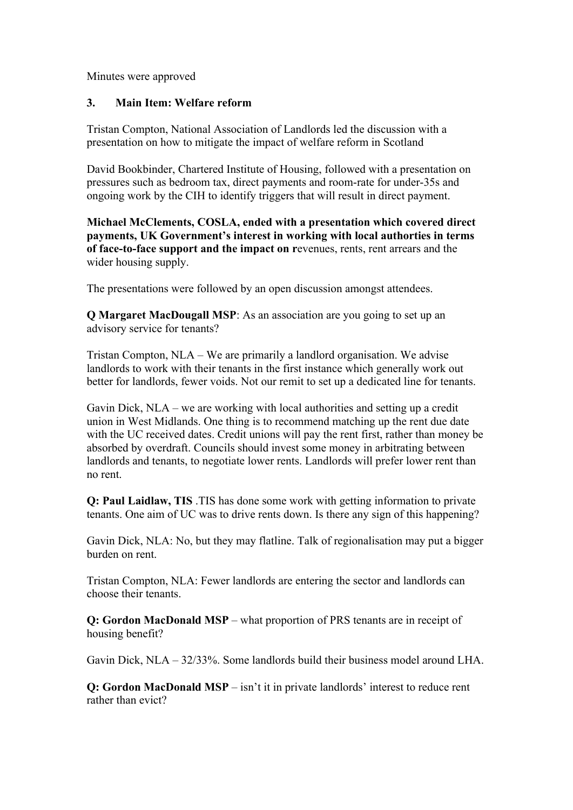Minutes were approved

### **3. Main Item: Welfare reform**

Tristan Compton, National Association of Landlords led the discussion with a presentation on how to mitigate the impact of welfare reform in Scotland

David Bookbinder, Chartered Institute of Housing, followed with a presentation on pressures such as bedroom tax, direct payments and room-rate for under-35s and ongoing work by the CIH to identify triggers that will result in direct payment.

**Michael McClements, COSLA, ended with a presentation which covered direct payments, UK Government's interest in working with local authorties in terms of face-to-face support and the impact on r**evenues, rents, rent arrears and the wider housing supply.

The presentations were followed by an open discussion amongst attendees.

**Q Margaret MacDougall MSP**: As an association are you going to set up an advisory service for tenants?

Tristan Compton, NLA – We are primarily a landlord organisation. We advise landlords to work with their tenants in the first instance which generally work out better for landlords, fewer voids. Not our remit to set up a dedicated line for tenants.

Gavin Dick, NLA – we are working with local authorities and setting up a credit union in West Midlands. One thing is to recommend matching up the rent due date with the UC received dates. Credit unions will pay the rent first, rather than money be absorbed by overdraft. Councils should invest some money in arbitrating between landlords and tenants, to negotiate lower rents. Landlords will prefer lower rent than no rent.

**Q: Paul Laidlaw, TIS** .TIS has done some work with getting information to private tenants. One aim of UC was to drive rents down. Is there any sign of this happening?

Gavin Dick, NLA: No, but they may flatline. Talk of regionalisation may put a bigger burden on rent.

Tristan Compton, NLA: Fewer landlords are entering the sector and landlords can choose their tenants.

**Q: Gordon MacDonald MSP** – what proportion of PRS tenants are in receipt of housing benefit?

Gavin Dick, NLA – 32/33%. Some landlords build their business model around LHA.

**Q: Gordon MacDonald MSP** – isn't it in private landlords' interest to reduce rent rather than evict?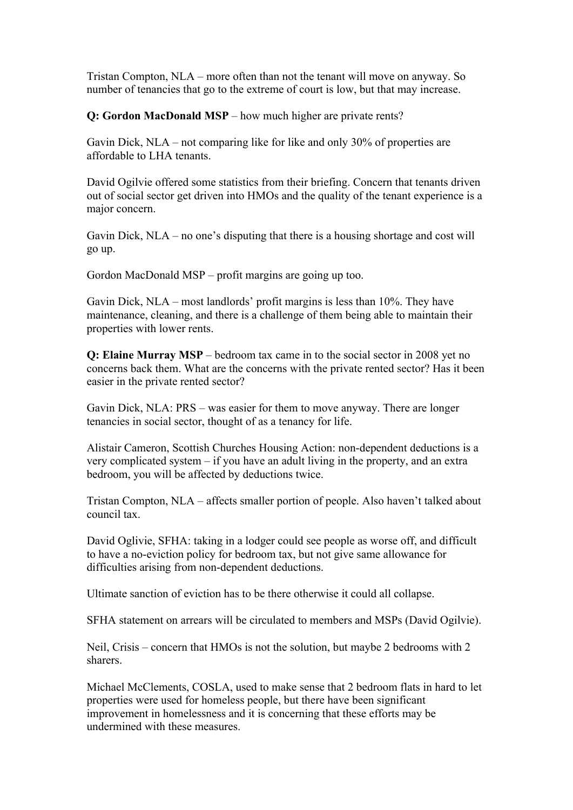Tristan Compton, NLA – more often than not the tenant will move on anyway. So number of tenancies that go to the extreme of court is low, but that may increase.

**Q: Gordon MacDonald MSP** – how much higher are private rents?

Gavin Dick, NLA – not comparing like for like and only 30% of properties are affordable to LHA tenants.

David Ogilvie offered some statistics from their briefing. Concern that tenants driven out of social sector get driven into HMOs and the quality of the tenant experience is a major concern.

Gavin Dick, NLA – no one's disputing that there is a housing shortage and cost will go up.

Gordon MacDonald MSP – profit margins are going up too.

Gavin Dick, NLA – most landlords' profit margins is less than 10%. They have maintenance, cleaning, and there is a challenge of them being able to maintain their properties with lower rents.

**Q: Elaine Murray MSP** – bedroom tax came in to the social sector in 2008 yet no concerns back them. What are the concerns with the private rented sector? Has it been easier in the private rented sector?

Gavin Dick, NLA: PRS – was easier for them to move anyway. There are longer tenancies in social sector, thought of as a tenancy for life.

Alistair Cameron, Scottish Churches Housing Action: non-dependent deductions is a very complicated system – if you have an adult living in the property, and an extra bedroom, you will be affected by deductions twice.

Tristan Compton, NLA – affects smaller portion of people. Also haven't talked about council tax.

David Oglivie, SFHA: taking in a lodger could see people as worse off, and difficult to have a no-eviction policy for bedroom tax, but not give same allowance for difficulties arising from non-dependent deductions.

Ultimate sanction of eviction has to be there otherwise it could all collapse.

SFHA statement on arrears will be circulated to members and MSPs (David Ogilvie).

Neil, Crisis – concern that HMOs is not the solution, but maybe 2 bedrooms with 2 sharers.

Michael McClements, COSLA, used to make sense that 2 bedroom flats in hard to let properties were used for homeless people, but there have been significant improvement in homelessness and it is concerning that these efforts may be undermined with these measures.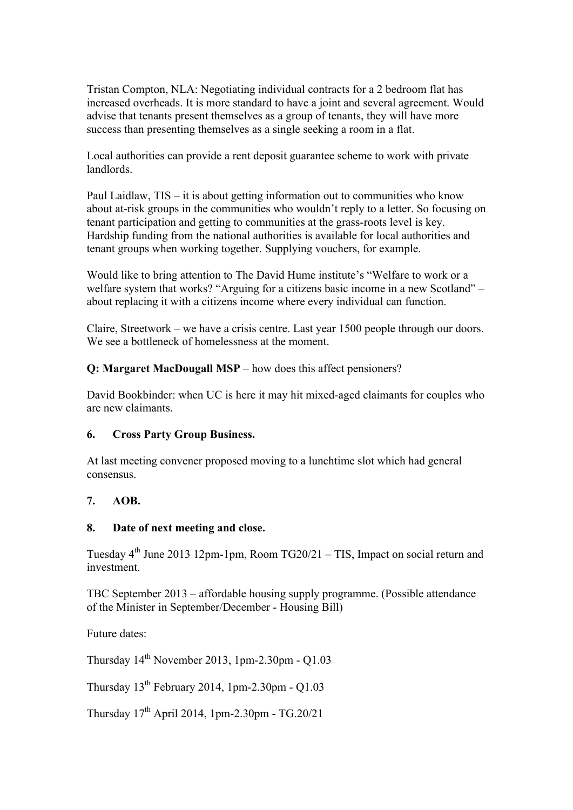Tristan Compton, NLA: Negotiating individual contracts for a 2 bedroom flat has increased overheads. It is more standard to have a joint and several agreement. Would advise that tenants present themselves as a group of tenants, they will have more success than presenting themselves as a single seeking a room in a flat.

Local authorities can provide a rent deposit guarantee scheme to work with private landlords.

Paul Laidlaw, TIS – it is about getting information out to communities who know about at-risk groups in the communities who wouldn't reply to a letter. So focusing on tenant participation and getting to communities at the grass-roots level is key. Hardship funding from the national authorities is available for local authorities and tenant groups when working together. Supplying vouchers, for example.

Would like to bring attention to The David Hume institute's "Welfare to work or a welfare system that works? "Arguing for a citizens basic income in a new Scotland" – about replacing it with a citizens income where every individual can function.

Claire, Streetwork – we have a crisis centre. Last year 1500 people through our doors. We see a bottleneck of homelessness at the moment.

**Q: Margaret MacDougall MSP** – how does this affect pensioners?

David Bookbinder: when UC is here it may hit mixed-aged claimants for couples who are new claimants.

# **6. Cross Party Group Business.**

At last meeting convener proposed moving to a lunchtime slot which had general consensus.

# **7. AOB.**

# **8. Date of next meeting and close.**

Tuesday  $4<sup>th</sup>$  June 2013 12pm-1pm, Room TG20/21 – TIS, Impact on social return and investment.

TBC September 2013 – affordable housing supply programme. (Possible attendance of the Minister in September/December - Housing Bill)

Future dates:

Thursday  $14<sup>th</sup>$  November 2013, 1pm-2.30pm - Q1.03

Thursday 13th February 2014, 1pm-2.30pm - Q1.03

Thursday  $17^{th}$  April 2014, 1pm-2.30pm - TG.20/21